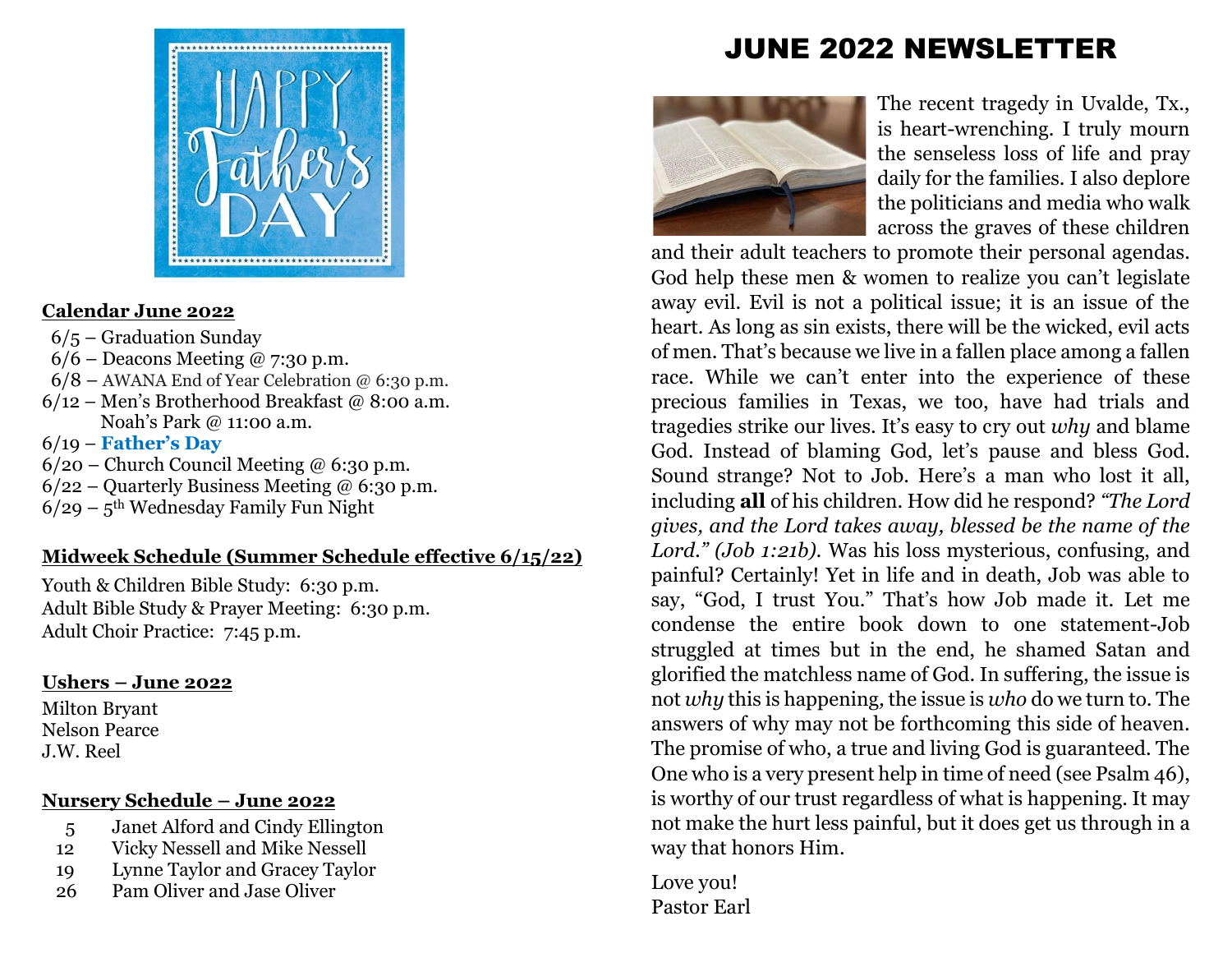# JUNE 2022 NEWSLETTER



#### **Calendar June 2022**

- 6/5 Graduation Sunday
- $6/6$  Deacons Meeting @ 7:30 p.m.
- $6/8$  AWANA End of Year Celebration @ 6:30 p.m.
- $6/12$  Men's Brotherhood Breakfast @ 8:00 a.m. Noah's Park @ 11:00 a.m.

### 6/19 – **Father's Day**

- $6/20$  Church Council Meeting @ 6:30 p.m.
- $6/22$  Quarterly Business Meeting @ 6:30 p.m.
- $6/29 5$ <sup>th</sup> Wednesday Family Fun Night

# **Midweek Schedule (Summer Schedule effective 6/15/22)**

Youth & Children Bible Study: 6:30 p.m. Adult Bible Study & Prayer Meeting: 6:30 p.m. Adult Choir Practice: 7:45 p.m.

# **Ushers – June 2022**

Milton Bryant Nelson Pearce J.W. Reel

# **Nursery Schedule – June 2022**

- 5 Janet Alford and Cindy Ellington
- 12 Vicky Nessell and Mike Nessell
- 19 Lynne Taylor and Gracey Taylor
- 26 Pam Oliver and Jase Oliver



The recent tragedy in Uvalde, Tx., is heart-wrenching. I truly mourn the senseless loss of life and pray daily for the families. I also deplore the politicians and media who walk across the graves of these children

and their adult teachers to promote their personal agendas. God help these men & women to realize you can't legislate away evil. Evil is not a political issue; it is an issue of the heart. As long as sin exists, there will be the wicked, evil acts of men. That's because we live in a fallen place among a fallen race. While we can't enter into the experience of these precious families in Texas, we too, have had trials and tragedies strike our lives. It's easy to cry out *why* and blame God. Instead of blaming God, let's pause and bless God. Sound strange? Not to Job. Here's a man who lost it all, including **all** of his children. How did he respond? *"The Lord gives, and the Lord takes away, blessed be the name of the Lord." (Job 1:21b).* Was his loss mysterious, confusing, and painful? Certainly! Yet in life and in death, Job was able to say, "God, I trust You." That's how Job made it. Let me condense the entire book down to one statement-Job struggled at times but in the end, he shamed Satan and glorified the matchless name of God. In suffering, the issue is not *why* this is happening*,* the issue is *who* do we turn to*.* The answers of why may not be forthcoming this side of heaven. The promise of who, a true and living God is guaranteed. The One who is a very present help in time of need (see Psalm 46), is worthy of our trust regardless of what is happening. It may not make the hurt less painful, but it does get us through in a way that honors Him.

Love you! Pastor Earl